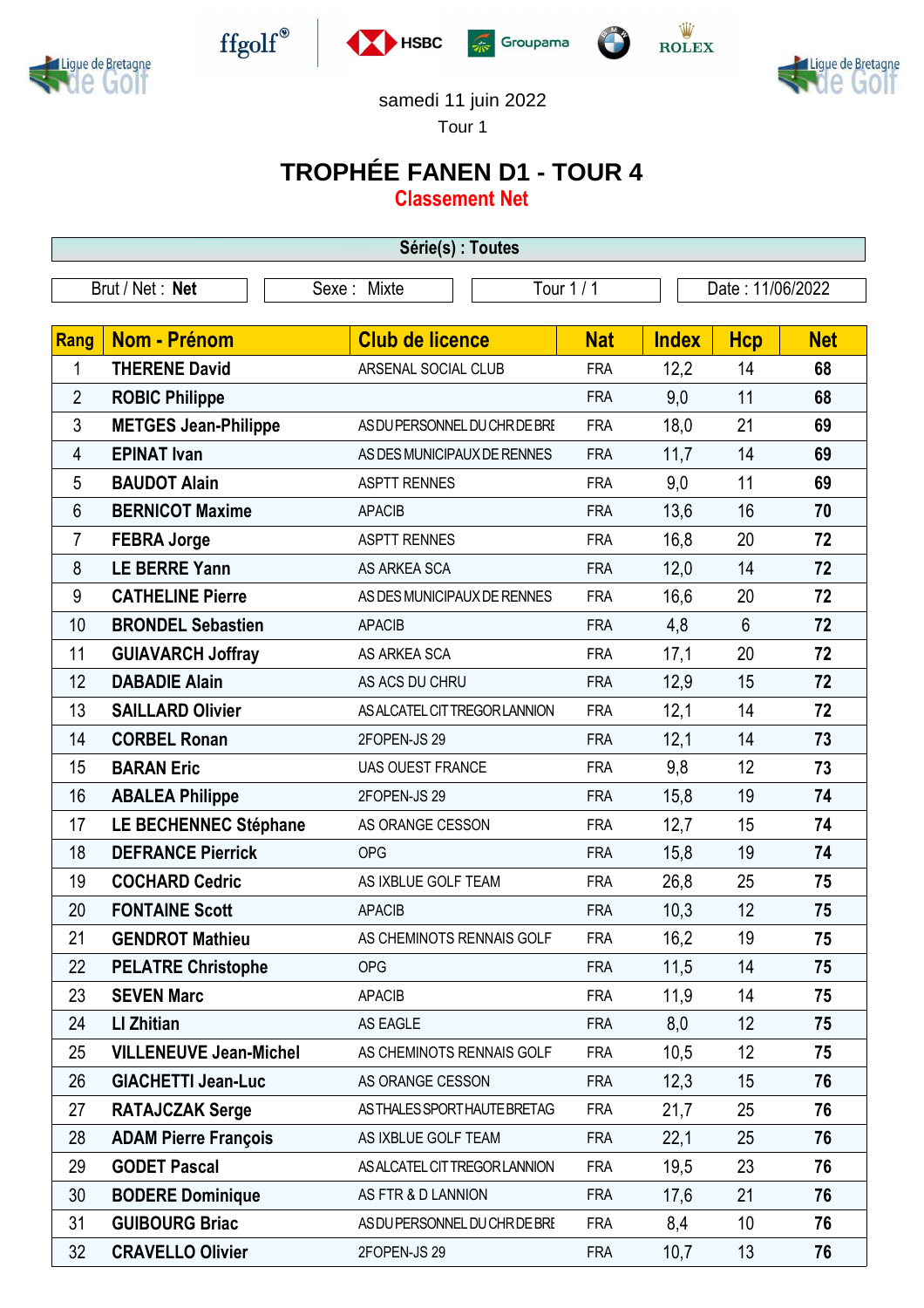



 $\operatorname{ffgolf}^{\circledast}$ 







## samedi 11 juin 2022

Tour 1

## **TROPHÉE FANEN D1 - TOUR 4**

**Classement Net**

| Série(s) : Toutes |                               |               |                               |  |                  |              |                |            |
|-------------------|-------------------------------|---------------|-------------------------------|--|------------------|--------------|----------------|------------|
| Brut / Net: Net   |                               |               | Tour 1 / 1<br>Sexe: Mixte     |  | Date: 11/06/2022 |              |                |            |
|                   |                               |               |                               |  |                  |              |                |            |
| <b>Rang</b>       | Nom - Prénom                  |               | <b>Club de licence</b>        |  | <b>Nat</b>       | <b>Index</b> | <b>Hcp</b>     | <b>Net</b> |
| 1                 | <b>THERENE David</b>          |               | ARSENAL SOCIAL CLUB           |  | <b>FRA</b>       | 12,2         | 14             | 68         |
| $\overline{2}$    | <b>ROBIC Philippe</b>         |               |                               |  | <b>FRA</b>       | 9,0          | 11             | 68         |
| 3                 | <b>METGES Jean-Philippe</b>   |               | AS DU PERSONNEL DU CHR DE BRE |  | <b>FRA</b>       | 18,0         | 21             | 69         |
| 4                 | <b>EPINAT Ivan</b>            |               | AS DES MUNICIPAUX DE RENNES   |  | <b>FRA</b>       | 11,7         | 14             | 69         |
| 5                 | <b>BAUDOT Alain</b>           |               | <b>ASPTT RENNES</b>           |  | <b>FRA</b>       | 9,0          | 11             | 69         |
| 6                 | <b>BERNICOT Maxime</b>        | <b>APACIB</b> |                               |  | <b>FRA</b>       | 13,6         | 16             | 70         |
| 7                 | <b>FEBRA Jorge</b>            |               | <b>ASPTT RENNES</b>           |  | <b>FRA</b>       | 16,8         | 20             | 72         |
| 8                 | <b>LE BERRE Yann</b>          |               | AS ARKEA SCA                  |  | <b>FRA</b>       | 12,0         | 14             | 72         |
| 9                 | <b>CATHELINE Pierre</b>       |               | AS DES MUNICIPAUX DE RENNES   |  | <b>FRA</b>       | 16,6         | 20             | 72         |
| 10                | <b>BRONDEL Sebastien</b>      | <b>APACIB</b> |                               |  | <b>FRA</b>       | 4,8          | $6\phantom{1}$ | 72         |
| 11                | <b>GUIAVARCH Joffray</b>      |               | AS ARKEA SCA                  |  | <b>FRA</b>       | 17,1         | 20             | 72         |
| 12                | <b>DABADIE Alain</b>          |               | AS ACS DU CHRU                |  | <b>FRA</b>       | 12,9         | 15             | 72         |
| 13                | <b>SAILLARD Olivier</b>       |               | AS ALCATEL CIT TREGOR LANNION |  | <b>FRA</b>       | 12,1         | 14             | 72         |
| 14                | <b>CORBEL Ronan</b>           |               | 2FOPEN-JS 29                  |  | <b>FRA</b>       | 12,1         | 14             | 73         |
| 15                | <b>BARAN Eric</b>             |               | <b>UAS OUEST FRANCE</b>       |  | <b>FRA</b>       | 9,8          | 12             | 73         |
| 16                | <b>ABALEA Philippe</b>        |               | 2FOPEN-JS 29                  |  | <b>FRA</b>       | 15,8         | 19             | 74         |
| 17                | LE BECHENNEC Stéphane         |               | AS ORANGE CESSON              |  | <b>FRA</b>       | 12,7         | 15             | 74         |
| 18                | <b>DEFRANCE Pierrick</b>      | <b>OPG</b>    |                               |  | <b>FRA</b>       | 15,8         | 19             | 74         |
| 19                | <b>COCHARD Cedric</b>         |               | AS IXBLUE GOLF TEAM           |  | <b>FRA</b>       | 26,8         | 25             | 75         |
| 20                | <b>FONTAINE Scott</b>         | <b>APACIB</b> |                               |  | <b>FRA</b>       | 10,3         | 12             | 75         |
| 21                | <b>GENDROT Mathieu</b>        |               | AS CHEMINOTS RENNAIS GOLF     |  | <b>FRA</b>       | 16,2         | 19             | 75         |
| 22                | <b>PELATRE Christophe</b>     | <b>OPG</b>    |                               |  | <b>FRA</b>       | 11,5         | 14             | 75         |
| 23                | <b>SEVEN Marc</b>             | <b>APACIB</b> |                               |  | <b>FRA</b>       | 11,9         | 14             | 75         |
| 24                | <b>LI Zhitian</b>             |               | AS EAGLE                      |  | <b>FRA</b>       | 8,0          | 12             | 75         |
| 25                | <b>VILLENEUVE Jean-Michel</b> |               | AS CHEMINOTS RENNAIS GOLF     |  | <b>FRA</b>       | 10,5         | 12             | 75         |
| 26                | <b>GIACHETTI Jean-Luc</b>     |               | AS ORANGE CESSON              |  | <b>FRA</b>       | 12,3         | 15             | 76         |
| 27                | <b>RATAJCZAK Serge</b>        |               | AS THALES SPORT HAUTE BRETAG  |  | <b>FRA</b>       | 21,7         | 25             | 76         |
| 28                | <b>ADAM Pierre François</b>   |               | AS IXBLUE GOLF TEAM           |  | <b>FRA</b>       | 22,1         | 25             | 76         |
| 29                | <b>GODET Pascal</b>           |               | AS ALCATEL CIT TREGOR LANNION |  | <b>FRA</b>       | 19,5         | 23             | 76         |
| 30                | <b>BODERE Dominique</b>       |               | AS FTR & D LANNION            |  | <b>FRA</b>       | 17,6         | 21             | 76         |
| 31                | <b>GUIBOURG Briac</b>         |               | AS DU PERSONNEL DU CHR DE BRE |  | <b>FRA</b>       | 8,4          | 10             | 76         |
| 32                | <b>CRAVELLO Olivier</b>       |               | 2FOPEN-JS 29                  |  | <b>FRA</b>       | 10,7         | 13             | 76         |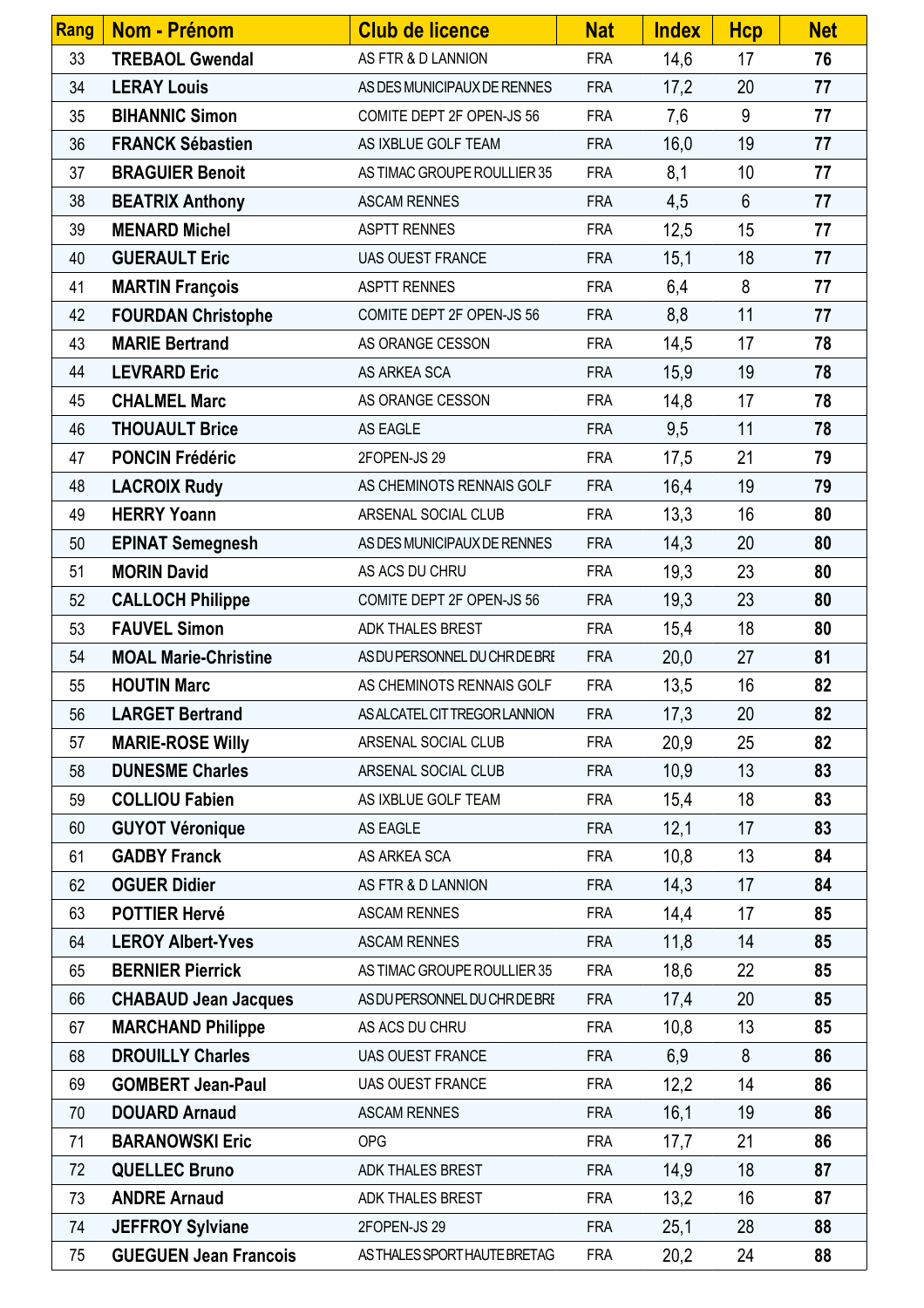| <b>Rang</b> | Nom - Prénom                 | <b>Club de licence</b>        | <b>Nat</b> | <b>Index</b> | <b>Hcp</b>     | <b>Net</b> |
|-------------|------------------------------|-------------------------------|------------|--------------|----------------|------------|
| 33          | <b>TREBAOL Gwendal</b>       | AS FTR & D LANNION            | <b>FRA</b> | 14,6         | 17             | 76         |
| 34          | <b>LERAY Louis</b>           | AS DES MUNICIPAUX DE RENNES   | <b>FRA</b> | 17,2         | 20             | 77         |
| 35          | <b>BIHANNIC Simon</b>        | COMITE DEPT 2F OPEN-JS 56     | <b>FRA</b> | 7,6          | 9              | 77         |
| 36          | <b>FRANCK Sébastien</b>      | AS IXBLUE GOLF TEAM           | <b>FRA</b> | 16,0         | 19             | 77         |
| 37          | <b>BRAGUIER Benoit</b>       | AS TIMAC GROUPE ROULLIER 35   | <b>FRA</b> | 8,1          | 10             | 77         |
| 38          | <b>BEATRIX Anthony</b>       | <b>ASCAM RENNES</b>           | <b>FRA</b> | 4,5          | $6\phantom{a}$ | 77         |
| 39          | <b>MENARD Michel</b>         | <b>ASPTT RENNES</b>           | <b>FRA</b> | 12,5         | 15             | 77         |
| 40          | <b>GUERAULT Eric</b>         | <b>UAS OUEST FRANCE</b>       | <b>FRA</b> | 15,1         | 18             | 77         |
| 41          | <b>MARTIN François</b>       | <b>ASPTT RENNES</b>           | <b>FRA</b> | 6,4          | 8              | 77         |
| 42          | <b>FOURDAN Christophe</b>    | COMITE DEPT 2F OPEN-JS 56     | <b>FRA</b> | 8,8          | 11             | 77         |
| 43          | <b>MARIE Bertrand</b>        | AS ORANGE CESSON              | <b>FRA</b> | 14,5         | 17             | 78         |
| 44          | <b>LEVRARD Eric</b>          | AS ARKEA SCA                  | <b>FRA</b> | 15,9         | 19             | 78         |
| 45          | <b>CHALMEL Marc</b>          | AS ORANGE CESSON              | <b>FRA</b> | 14,8         | 17             | 78         |
| 46          | <b>THOUAULT Brice</b>        | AS EAGLE                      | <b>FRA</b> | 9,5          | 11             | 78         |
| 47          | <b>PONCIN Frédéric</b>       | 2FOPEN-JS 29                  | <b>FRA</b> | 17,5         | 21             | 79         |
| 48          | <b>LACROIX Rudy</b>          | AS CHEMINOTS RENNAIS GOLF     | <b>FRA</b> | 16,4         | 19             | 79         |
| 49          | <b>HERRY Yoann</b>           | ARSENAL SOCIAL CLUB           | <b>FRA</b> | 13,3         | 16             | 80         |
| 50          | <b>EPINAT Semegnesh</b>      | AS DES MUNICIPAUX DE RENNES   | <b>FRA</b> | 14,3         | 20             | 80         |
| 51          | <b>MORIN David</b>           | AS ACS DU CHRU                | <b>FRA</b> | 19,3         | 23             | 80         |
| 52          | <b>CALLOCH Philippe</b>      | COMITE DEPT 2F OPEN-JS 56     | <b>FRA</b> | 19,3         | 23             | 80         |
| 53          | <b>FAUVEL Simon</b>          | ADK THALES BREST              | <b>FRA</b> | 15,4         | 18             | 80         |
| 54          | <b>MOAL Marie-Christine</b>  | AS DU PERSONNEL DU CHR DE BRE | <b>FRA</b> | 20,0         | 27             | 81         |
| 55          | <b>HOUTIN Marc</b>           | AS CHEMINOTS RENNAIS GOLF     | <b>FRA</b> | 13,5         | 16             | 82         |
| 56          | <b>LARGET Bertrand</b>       | AS ALCATEL CIT TREGOR LANNION | <b>FRA</b> | 17,3         | 20             | 82         |
| 57          | <b>MARIE-ROSE Willy</b>      | ARSENAL SOCIAL CLUB           | <b>FRA</b> | 20,9         | 25             | 82         |
| 58          | <b>DUNESME Charles</b>       | ARSENAL SOCIAL CLUB           | <b>FRA</b> | 10,9         | 13             | 83         |
| 59          | <b>COLLIOU Fabien</b>        | AS IXBLUE GOLF TEAM           | <b>FRA</b> | 15,4         | 18             | 83         |
| 60          | <b>GUYOT Véronique</b>       | AS EAGLE                      | <b>FRA</b> | 12,1         | 17             | 83         |
| 61          | <b>GADBY Franck</b>          | AS ARKEA SCA                  | <b>FRA</b> | 10,8         | 13             | 84         |
| 62          | <b>OGUER Didier</b>          | AS FTR & D LANNION            | <b>FRA</b> | 14,3         | 17             | 84         |
| 63          | <b>POTTIER Hervé</b>         | <b>ASCAM RENNES</b>           | <b>FRA</b> | 14,4         | 17             | 85         |
| 64          | <b>LEROY Albert-Yves</b>     | <b>ASCAM RENNES</b>           | <b>FRA</b> | 11,8         | 14             | 85         |
| 65          | <b>BERNIER Pierrick</b>      | AS TIMAC GROUPE ROULLIER 35   | <b>FRA</b> | 18,6         | 22             | 85         |
| 66          | <b>CHABAUD Jean Jacques</b>  | AS DU PERSONNEL DU CHR DE BRE | <b>FRA</b> | 17,4         | 20             | 85         |
| 67          | <b>MARCHAND Philippe</b>     | AS ACS DU CHRU                | <b>FRA</b> | 10,8         | 13             | 85         |
| 68          | <b>DROUILLY Charles</b>      | <b>UAS OUEST FRANCE</b>       | <b>FRA</b> | 6,9          | 8              | 86         |
| 69          | <b>GOMBERT Jean-Paul</b>     | UAS OUEST FRANCE              | <b>FRA</b> | 12,2         | 14             | 86         |
| 70          | <b>DOUARD Arnaud</b>         | <b>ASCAM RENNES</b>           | <b>FRA</b> | 16,1         | 19             | 86         |
| 71          | <b>BARANOWSKI Eric</b>       | <b>OPG</b>                    | <b>FRA</b> | 17,7         | 21             | 86         |
| 72          | <b>QUELLEC Bruno</b>         | ADK THALES BREST              | <b>FRA</b> | 14,9         | 18             | 87         |
| 73          | <b>ANDRE Arnaud</b>          | ADK THALES BREST              | <b>FRA</b> | 13,2         | 16             | 87         |
| 74          | <b>JEFFROY Sylviane</b>      | 2FOPEN-JS 29                  | <b>FRA</b> | 25,1         | 28             | 88         |
| 75          | <b>GUEGUEN Jean Francois</b> | AS THALES SPORT HAUTE BRETAG  | <b>FRA</b> | 20,2         | 24             | 88         |